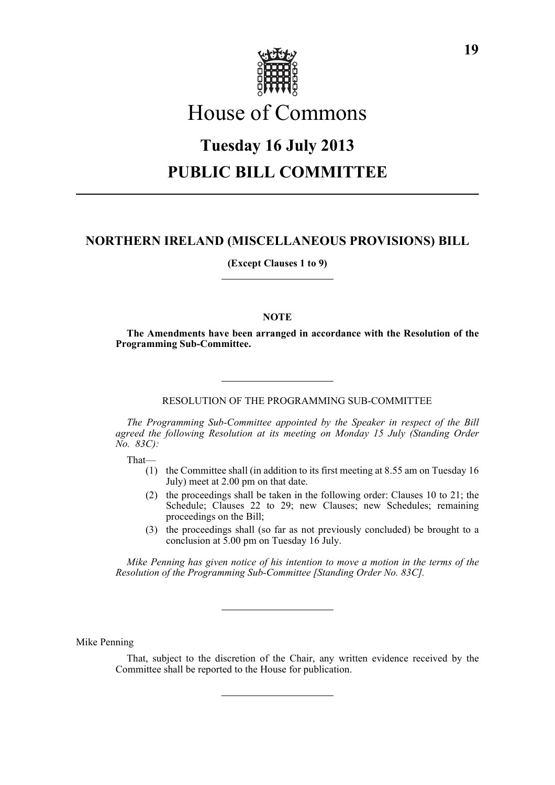

# House of Commons

# **Tuesday 16 July 2013 PUBLIC BILL COMMITTEE**

# **NORTHERN IRELAND (MISCELLANEOUS PROVISIONS) BILL**

**(Except Clauses 1 to 9)**

# **NOTE**

**The Amendments have been arranged in accordance with the Resolution of the Programming Sub-Committee.**

RESOLUTION OF THE PROGRAMMING SUB-COMMITTEE

*The Programming Sub-Committee appointed by the Speaker in respect of the Bill agreed the following Resolution at its meeting on Monday 15 July (Standing Order No. 83C):*

That—

- (1) the Committee shall (in addition to its first meeting at 8.55 am on Tuesday 16 July) meet at 2.00 pm on that date.
- (2) the proceedings shall be taken in the following order: Clauses 10 to 21; the Schedule; Clauses 22 to 29; new Clauses; new Schedules; remaining proceedings on the Bill;
- (3) the proceedings shall (so far as not previously concluded) be brought to a conclusion at 5.00 pm on Tuesday 16 July.

*Mike Penning has given notice of his intention to move a motion in the terms of the Resolution of the Programming Sub-Committee [Standing Order No. 83C].*

Mike Penning

That, subject to the discretion of the Chair, any written evidence received by the Committee shall be reported to the House for publication.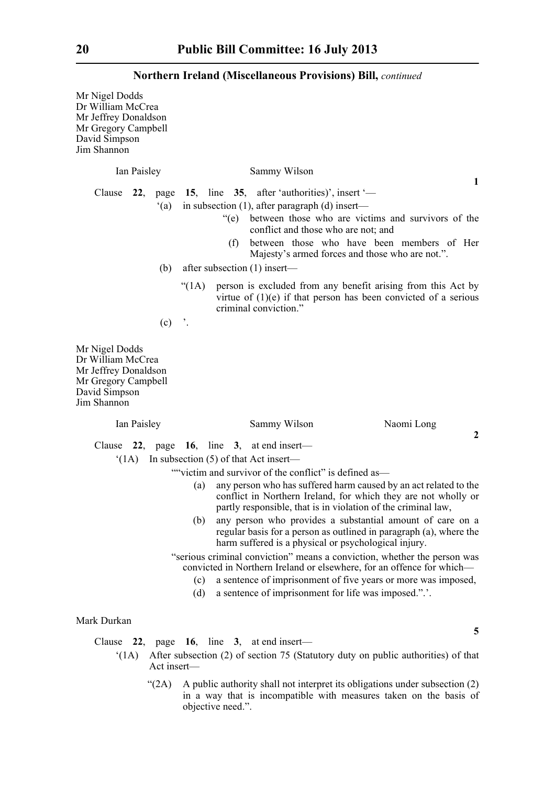Mr Nigel Dodds Dr William McCrea Mr Jeffrey Donaldson Mr Gregory Campbell David Simpson Jim Shannon Ian Paisley Sammy Wilson Clause **22**, page **15**, line **35**, after 'authorities)', insert '— '(a) in subsection (1), after paragraph (d) insert— "(e) between those who are victims and survivors of the conflict and those who are not; and (f) between those who have been members of Her Majesty's armed forces and those who are not.". (b) after subsection (1) insert— "(1A) person is excluded from any benefit arising from this Act by virtue of (1)(e) if that person has been convicted of a serious criminal conviction."  $(c)$  '. Mr Nigel Dodds Dr William McCrea Mr Jeffrey Donaldson Mr Gregory Campbell David Simpson Jim Shannon Ian Paisley Sammy Wilson Naomi Long Clause **22**, page **16**, line **3**, at end insert— '(1A) In subsection (5) of that Act insert— ""victim and survivor of the conflict" is defined as— (a) any person who has suffered harm caused by an act related to the conflict in Northern Ireland, for which they are not wholly or partly responsible, that is in violation of the criminal law, (b) any person who provides a substantial amount of care on a regular basis for a person as outlined in paragraph (a), where the harm suffered is a physical or psychological injury. "serious criminal conviction" means a conviction, whether the person was convicted in Northern Ireland or elsewhere, for an offence for which—

- (c) a sentence of imprisonment of five years or more was imposed,
- (d) a sentence of imprisonment for life was imposed.".'.

# Mark Durkan

Clause **22**, page **16**, line **3**, at end insert—

- '(1A) After subsection (2) of section 75 (Statutory duty on public authorities) of that Act insert—
	- " $(2A)$  A public authority shall not interpret its obligations under subsection  $(2)$ in a way that is incompatible with measures taken on the basis of objective need.".

**1**

**2**

**5**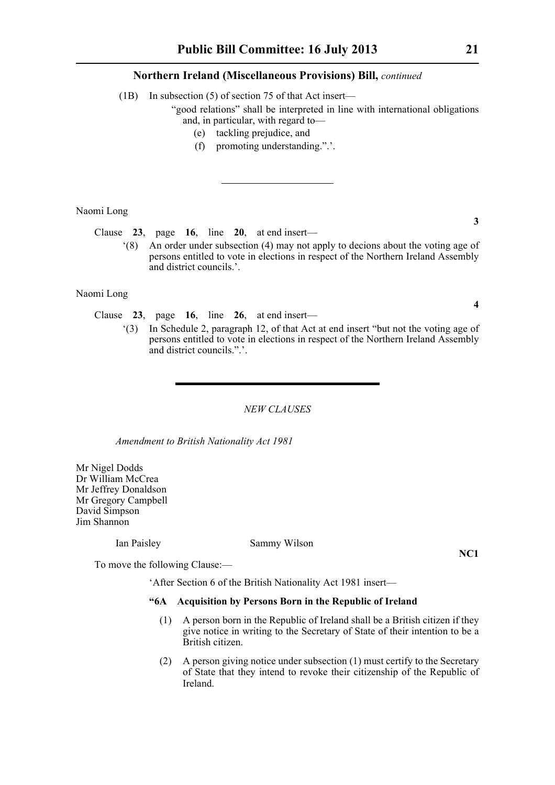(1B) In subsection (5) of section 75 of that Act insert—

"good relations" shall be interpreted in line with international obligations and, in particular, with regard to—

- (e) tackling prejudice, and
- (f) promoting understanding.".'.

Naomi Long

Clause **23**, page **16**, line **20**, at end insert—

'(8) An order under subsection (4) may not apply to decions about the voting age of persons entitled to vote in elections in respect of the Northern Ireland Assembly and district councils.'.

Naomi Long

Clause **23**, page **16**, line **26**, at end insert—

'(3) In Schedule 2, paragraph 12, of that Act at end insert "but not the voting age of persons entitled to vote in elections in respect of the Northern Ireland Assembly and district councils.".'.

#### *NEW CLAUSES*

*Amendment to British Nationality Act 1981*

Mr Nigel Dodds Dr William McCrea Mr Jeffrey Donaldson Mr Gregory Campbell David Simpson Jim Shannon

Ian Paisley Sammy Wilson

**NC1**

To move the following Clause:—

'After Section 6 of the British Nationality Act 1981 insert—

### **"6A Acquisition by Persons Born in the Republic of Ireland**

- (1) A person born in the Republic of Ireland shall be a British citizen if they give notice in writing to the Secretary of State of their intention to be a British citizen.
- (2) A person giving notice under subsection (1) must certify to the Secretary of State that they intend to revoke their citizenship of the Republic of Ireland.

**3**

**4**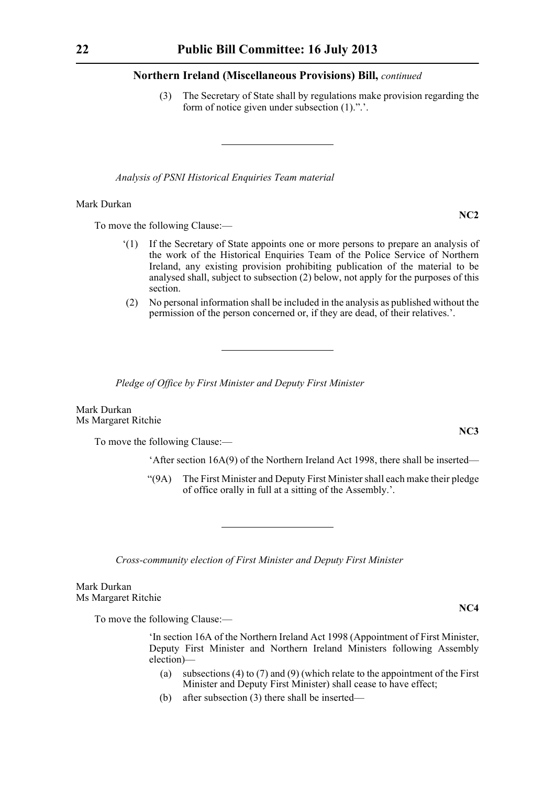(3) The Secretary of State shall by regulations make provision regarding the form of notice given under subsection (1).".'.

*Analysis of PSNI Historical Enquiries Team material*

#### Mark Durkan

To move the following Clause:—

- '(1) If the Secretary of State appoints one or more persons to prepare an analysis of the work of the Historical Enquiries Team of the Police Service of Northern Ireland, any existing provision prohibiting publication of the material to be analysed shall, subject to subsection (2) below, not apply for the purposes of this section.
- (2) No personal information shall be included in the analysis as published without the permission of the person concerned or, if they are dead, of their relatives.'.

*Pledge of Office by First Minister and Deputy First Minister*

Mark Durkan Ms Margaret Ritchie

To move the following Clause:—

'After section 16A(9) of the Northern Ireland Act 1998, there shall be inserted—

"(9A) The First Minister and Deputy First Minister shall each make their pledge of office orally in full at a sitting of the Assembly.'.

*Cross-community election of First Minister and Deputy First Minister*

Mark Durkan Ms Margaret Ritchie

To move the following Clause:—

'In section 16A of the Northern Ireland Act 1998 (Appointment of First Minister, Deputy First Minister and Northern Ireland Ministers following Assembly election)—

- (a) subsections (4) to (7) and (9) (which relate to the appointment of the First Minister and Deputy First Minister) shall cease to have effect;
- (b) after subsection (3) there shall be inserted—

# **NC2**

**NC3**

**NC4**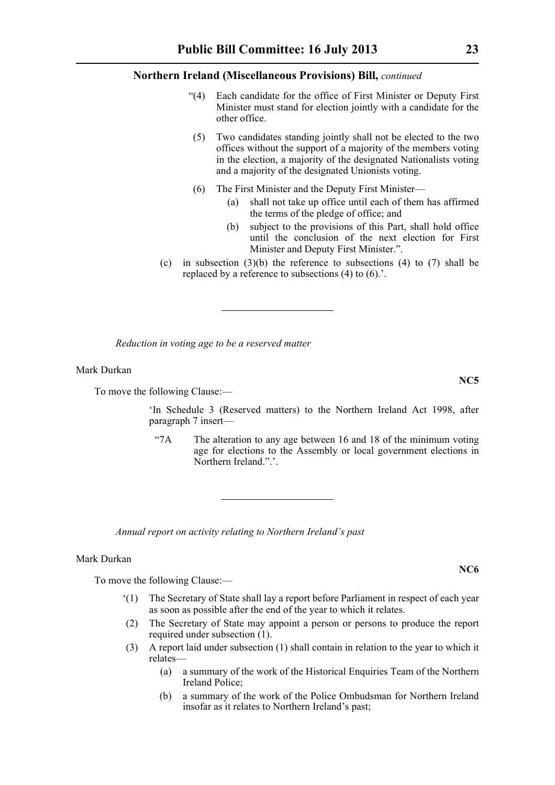- "(4) Each candidate for the office of First Minister or Deputy First Minister must stand for election jointly with a candidate for the other office.
- (5) Two candidates standing jointly shall not be elected to the two offices without the support of a majority of the members voting in the election, a majority of the designated Nationalists voting and a majority of the designated Unionists voting.
- (6) The First Minister and the Deputy First Minister—
	- (a) shall not take up office until each of them has affirmed the terms of the pledge of office; and
	- (b) subject to the provisions of this Part, shall hold office until the conclusion of the next election for First Minister and Deputy First Minister.".
- (c) in subsection  $(3)(b)$  the reference to subsections  $(4)$  to  $(7)$  shall be replaced by a reference to subsections (4) to (6).'.

*Reduction in voting age to be a reserved matter*

#### Mark Durkan

To move the following Clause:—

'In Schedule 3 (Reserved matters) to the Northern Ireland Act 1998, after paragraph 7 insert—

"7A The alteration to any age between 16 and 18 of the minimum voting age for elections to the Assembly or local government elections in Northern Ireland.".'.

*Annual report on activity relating to Northern Ireland's past*

# Mark Durkan

To move the following Clause:—

- '(1) The Secretary of State shall lay a report before Parliament in respect of each year as soon as possible after the end of the year to which it relates.
- (2) The Secretary of State may appoint a person or persons to produce the report required under subsection (1).
- (3) A report laid under subsection (1) shall contain in relation to the year to which it relates—
	- (a) a summary of the work of the Historical Enquiries Team of the Northern Ireland Police;
	- (b) a summary of the work of the Police Ombudsman for Northern Ireland insofar as it relates to Northern Ireland's past;

**NC6**

**NC5**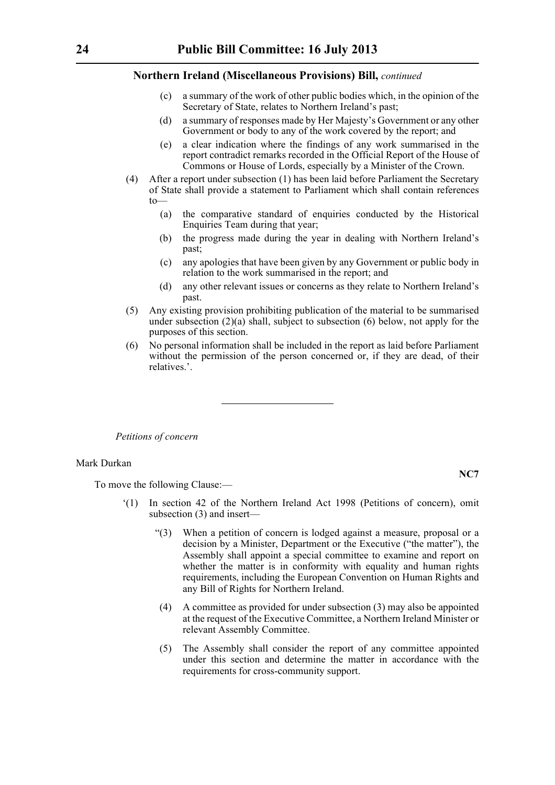- (c) a summary of the work of other public bodies which, in the opinion of the Secretary of State, relates to Northern Ireland's past;
- (d) a summary of responses made by Her Majesty's Government or any other Government or body to any of the work covered by the report; and
- (e) a clear indication where the findings of any work summarised in the report contradict remarks recorded in the Official Report of the House of Commons or House of Lords, especially by a Minister of the Crown.
- (4) After a report under subsection (1) has been laid before Parliament the Secretary of State shall provide a statement to Parliament which shall contain references to—
	- (a) the comparative standard of enquiries conducted by the Historical Enquiries Team during that year;
	- (b) the progress made during the year in dealing with Northern Ireland's past;
	- (c) any apologies that have been given by any Government or public body in relation to the work summarised in the report; and
	- (d) any other relevant issues or concerns as they relate to Northern Ireland's past.
- (5) Any existing provision prohibiting publication of the material to be summarised under subsection (2)(a) shall, subject to subsection (6) below, not apply for the purposes of this section.
- (6) No personal information shall be included in the report as laid before Parliament without the permission of the person concerned or, if they are dead, of their relatives.'.

#### *Petitions of concern*

#### Mark Durkan

To move the following Clause:—

- '(1) In section 42 of the Northern Ireland Act 1998 (Petitions of concern), omit subsection (3) and insert—
	- "(3) When a petition of concern is lodged against a measure, proposal or a decision by a Minister, Department or the Executive ("the matter"), the Assembly shall appoint a special committee to examine and report on whether the matter is in conformity with equality and human rights requirements, including the European Convention on Human Rights and any Bill of Rights for Northern Ireland.
	- (4) A committee as provided for under subsection (3) may also be appointed at the request of the Executive Committee, a Northern Ireland Minister or relevant Assembly Committee.
	- (5) The Assembly shall consider the report of any committee appointed under this section and determine the matter in accordance with the requirements for cross-community support.

**NC7**